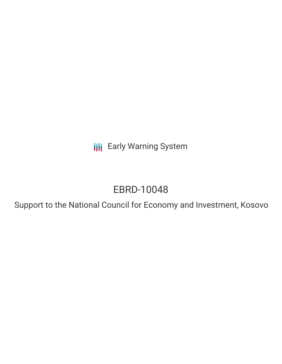**III** Early Warning System

# EBRD-10048

Support to the National Council for Economy and Investment, Kosovo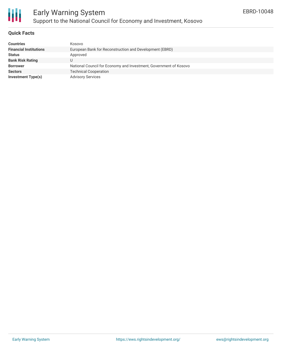

#### **Quick Facts**

| <b>Countries</b>              | Kosovo                                                            |
|-------------------------------|-------------------------------------------------------------------|
| <b>Financial Institutions</b> | European Bank for Reconstruction and Development (EBRD)           |
| <b>Status</b>                 | Approved                                                          |
| <b>Bank Risk Rating</b>       | U                                                                 |
| <b>Borrower</b>               | National Council for Economy and Investment, Government of Kosovo |
| <b>Sectors</b>                | <b>Technical Cooperation</b>                                      |
| <b>Investment Type(s)</b>     | <b>Advisory Services</b>                                          |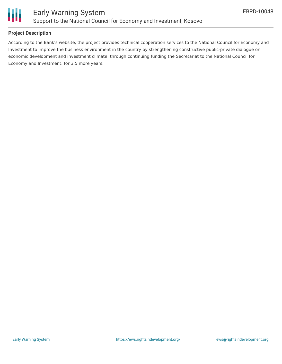

## **Project Description**

According to the Bank's website, the project provides technical cooperation services to the National Council for Economy and Investment to improve the business environment in the country by strengthening constructive public-private dialogue on economic development and investment climate, through continuing funding the Secretariat to the National Council for Economy and Investment, for 3.5 more years.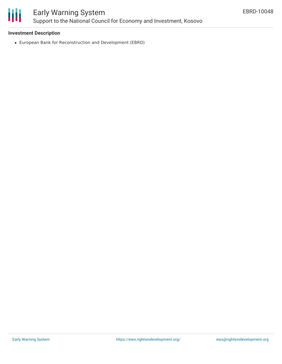

# Early Warning System Support to the National Council for Economy and Investment, Kosovo

### **Investment Description**

European Bank for Reconstruction and Development (EBRD)